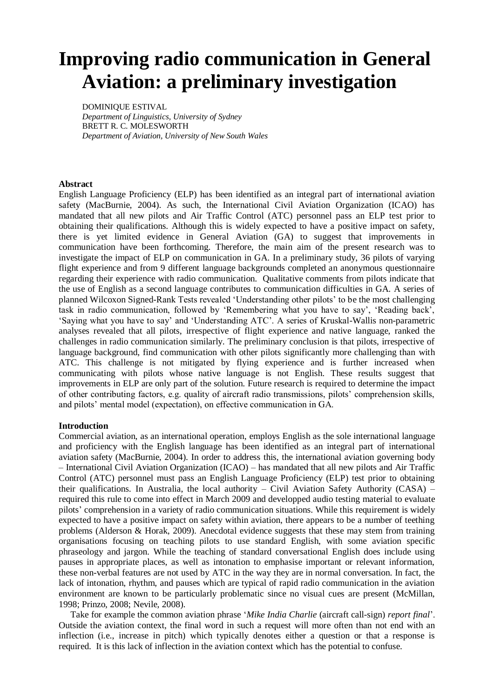# **Improving radio communication in General Aviation: a preliminary investigation**

DOMINIQUE ESTIVAL *Department of Linguistics, University of Sydney* BRETT R. C. MOLESWORTH *Department of Aviation, University of New South Wales*

## **Abstract**

English Language Proficiency (ELP) has been identified as an integral part of international aviation safety (MacBurnie, 2004). As such, the International Civil Aviation Organization (ICAO) has mandated that all new pilots and Air Traffic Control (ATC) personnel pass an ELP test prior to obtaining their qualifications. Although this is widely expected to have a positive impact on safety, there is yet limited evidence in General Aviation (GA) to suggest that improvements in communication have been forthcoming. Therefore, the main aim of the present research was to investigate the impact of ELP on communication in GA. In a preliminary study, 36 pilots of varying flight experience and from 9 different language backgrounds completed an anonymous questionnaire regarding their experience with radio communication. Qualitative comments from pilots indicate that the use of English as a second language contributes to communication difficulties in GA. A series of planned Wilcoxon Signed-Rank Tests revealed 'Understanding other pilots' to be the most challenging task in radio communication, followed by 'Remembering what you have to say', 'Reading back', 'Saying what you have to say' and 'Understanding ATC'. A series of Kruskal-Wallis non-parametric analyses revealed that all pilots, irrespective of flight experience and native language, ranked the challenges in radio communication similarly. The preliminary conclusion is that pilots, irrespective of language background, find communication with other pilots significantly more challenging than with ATC. This challenge is not mitigated by flying experience and is further increased when communicating with pilots whose native language is not English. These results suggest that improvements in ELP are only part of the solution. Future research is required to determine the impact of other contributing factors, e.g. quality of aircraft radio transmissions, pilots' comprehension skills, and pilots' mental model (expectation), on effective communication in GA.

#### **Introduction**

Commercial aviation, as an international operation, employs English as the sole international language and proficiency with the English language has been identified as an integral part of international aviation safety (MacBurnie, 2004). In order to address this, the international aviation governing body – International Civil Aviation Organization (ICAO) – has mandated that all new pilots and Air Traffic Control (ATC) personnel must pass an English Language Proficiency (ELP) test prior to obtaining their qualifications. In Australia, the local authority – Civil Aviation Safety Authority (CASA) – required this rule to come into effect in March 2009 and developped audio testing material to evaluate pilots' comprehension in a variety of radio communication situations. While this requirement is widely expected to have a positive impact on safety within aviation, there appears to be a number of teething problems (Alderson & Horak, 2009). Anecdotal evidence suggests that these may stem from training organisations focusing on teaching pilots to use standard English, with some aviation specific phraseology and jargon. While the teaching of standard conversational English does include using pauses in appropriate places, as well as intonation to emphasise important or relevant information, these non-verbal features are not used by ATC in the way they are in normal conversation. In fact, the lack of intonation, rhythm, and pauses which are typical of rapid radio communication in the aviation environment are known to be particularly problematic since no visual cues are present (McMillan, 1998; Prinzo, 2008; Nevile, 2008).

Take for example the common aviation phrase '*Mike India Charlie* (aircraft call-sign) *report final*'. Outside the aviation context, the final word in such a request will more often than not end with an inflection (i.e., increase in pitch) which typically denotes either a question or that a response is required. It is this lack of inflection in the aviation context which has the potential to confuse.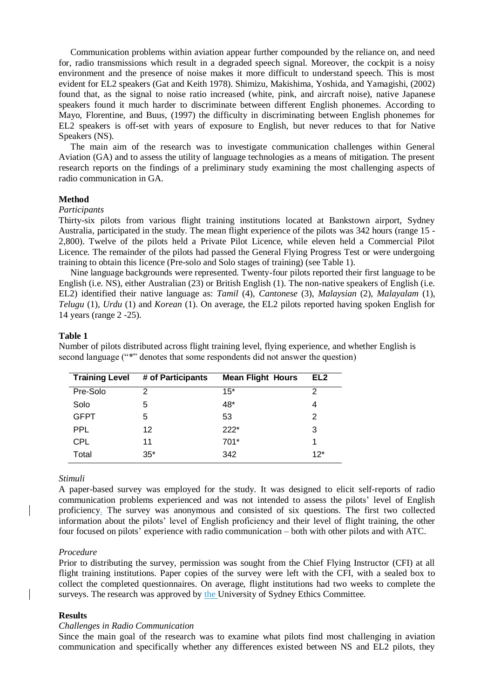Communication problems within aviation appear further compounded by the reliance on, and need for, radio transmissions which result in a degraded speech signal. Moreover, the cockpit is a noisy environment and the presence of noise makes it more difficult to understand speech. This is most evident for EL2 speakers (Gat and Keith 1978). Shimizu, Makishima, Yoshida, and Yamagishi, (2002) found that, as the signal to noise ratio increased (white, pink, and aircraft noise), native Japanese speakers found it much harder to discriminate between different English phonemes. According to Mayo, Florentine, and Buus, (1997) the difficulty in discriminating between English phonemes for EL2 speakers is off-set with years of exposure to English, but never reduces to that for Native Speakers (NS).

The main aim of the research was to investigate communication challenges within General Aviation (GA) and to assess the utility of language technologies as a means of mitigation. The present research reports on the findings of a preliminary study examining the most challenging aspects of radio communication in GA.

## **Method**

#### *Participants*

Thirty-six pilots from various flight training institutions located at Bankstown airport, Sydney Australia, participated in the study. The mean flight experience of the pilots was 342 hours (range 15 - 2,800). Twelve of the pilots held a Private Pilot Licence, while eleven held a Commercial Pilot Licence. The remainder of the pilots had passed the General Flying Progress Test or were undergoing training to obtain this licence (Pre-solo and Solo stages of training) (see Table 1).

Nine language backgrounds were represented. Twenty-four pilots reported their first language to be English (i.e. NS), either Australian (23) or British English (1). The non-native speakers of English (i.e. EL2) identified their native language as: *Tamil* (4), *Cantonese* (3), *Malaysian* (2), *Malayalam* (1), *Telugu* (1), *Urdu* (1) and *Korean* (1). On average, the EL2 pilots reported having spoken English for 14 years (range 2 -25).

#### **Table 1**

Number of pilots distributed across flight training level, flying experience, and whether English is second language ("\*" denotes that some respondents did not answer the question)

| <b>Training Level</b> | # of Participants | <b>Mean Flight Hours</b> | EL <sub>2</sub> |
|-----------------------|-------------------|--------------------------|-----------------|
| Pre-Solo              | 2                 | $15*$                    | 2               |
| Solo                  | 5                 | 48*                      | 4               |
| <b>GFPT</b>           | 5                 | 53                       | 2               |
| <b>PPL</b>            | 12                | 222*                     | 3               |
| <b>CPL</b>            | 11                | 701*                     |                 |
| Total                 | $35*$             | 342                      | $12*$           |

## *Stimuli*

A paper-based survey was employed for the study. It was designed to elicit self-reports of radio communication problems experienced and was not intended to assess the pilots' level of English proficiency. The survey was anonymous and consisted of six questions. The first two collected information about the pilots' level of English proficiency and their level of flight training, the other four focused on pilots' experience with radio communication – both with other pilots and with ATC.

## *Procedure*

Prior to distributing the survey, permission was sought from the Chief Flying Instructor (CFI) at all flight training institutions. Paper copies of the survey were left with the CFI, with a sealed box to collect the completed questionnaires. On average, flight institutions had two weeks to complete the surveys. The research was approved by the University of Sydney Ethics Committee.

# **Results**

## *Challenges in Radio Communication*

Since the main goal of the research was to examine what pilots find most challenging in aviation communication and specifically whether any differences existed between NS and EL2 pilots, they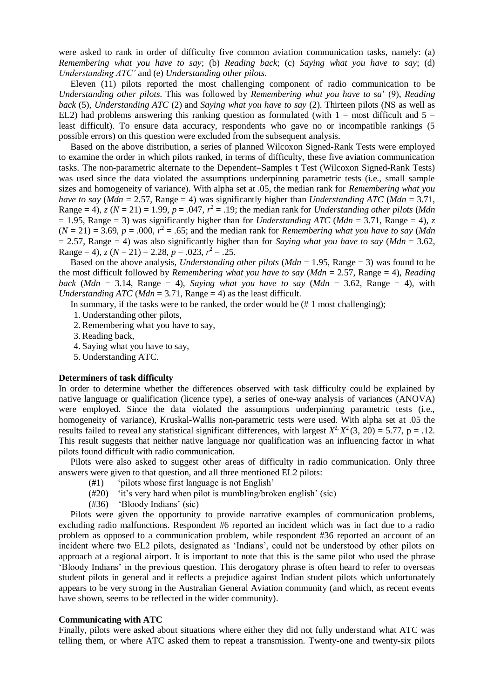were asked to rank in order of difficulty five common aviation communication tasks, namely: (a) *Remembering what you have to say*; (b) *Reading back*; (c) *Saying what you have to say*; (d) *Understanding ATC'* and (e) *Understanding other pilots*.

Eleven (11) pilots reported the most challenging component of radio communication to be *Understanding other pilots*. This was followed by *Remembering what you have to sa*' (9), *Reading back* (5), *Understanding ATC* (2) and *Saying what you have to say* (2). Thirteen pilots (NS as well as EL2) had problems answering this ranking question as formulated (with  $1 =$  most difficult and  $5 =$ least difficult). To ensure data accuracy, respondents who gave no or incompatible rankings (5 possible errors) on this question were excluded from the subsequent analysis.

Based on the above distribution, a series of planned Wilcoxon Signed-Rank Tests were employed to examine the order in which pilots ranked, in terms of difficulty, these five aviation communication tasks. The non-parametric alternate to the Dependent–Samples t Test (Wilcoxon Signed-Rank Tests) was used since the data violated the assumptions underpinning parametric tests (i.e., small sample sizes and homogeneity of variance). With alpha set at .05, the median rank for *Remembering what you have to say* (*Mdn* = 2.57, Range = 4) was significantly higher than *Understanding ATC* (*Mdn* = 3.71, Range = 4),  $z$  ( $N = 21$ ) = 1.99,  $p = .047$ ,  $r^2 = .19$ ; the median rank for *Understanding other pilots* (*Mdn*  $= 1.95$ , Range  $= 3$ ) was significantly higher than for *Understanding ATC (Mdn*  $= 3.71$ , Range  $= 4$ ), *z*  $(N = 21) = 3.69$ ,  $p = .000$ ,  $r^2 = .65$ ; and the median rank for *Remembering what you have to say* (*Mdn*)  $= 2.57$ , Range  $= 4$ ) was also significantly higher than for *Saying what you have to say* (*Mdn*  $= 3.62$ , Range = 4),  $z (N = 21) = 2.28$ ,  $p = .023$ ,  $r<sup>2</sup> = .25$ .

Based on the above analysis, *Understanding other pilots* (*Mdn* = 1.95, Range = 3) was found to be the most difficult followed by *Remembering what you have to say* (*Mdn* = 2.57, Range = 4), *Reading back* (*Mdn* = 3.14, Range = 4), *Saying what you have to say* (*Mdn* = 3.62, Range = 4), with *Understanding ATC* (*Mdn* = 3.71, Range = 4) as the least difficult.

In summary, if the tasks were to be ranked, the order would be (# 1 most challenging);

- 1. Understanding other pilots,
- 2. Remembering what you have to say,
- 3. Reading back,
- 4. Saying what you have to say,
- 5. Understanding ATC.

# **Determiners of task difficulty**

In order to determine whether the differences observed with task difficulty could be explained by native language or qualification (licence type), a series of one-way analysis of variances (ANOVA) were employed. Since the data violated the assumptions underpinning parametric tests (i.e., homogeneity of variance), Kruskal-Wallis non-parametric tests were used. With alpha set at .05 the results failed to reveal any statistical significant differences, with largest  $X^2$ ,  $X^2$ (3, 20) = 5.77, p = .12. This result suggests that neither native language nor qualification was an influencing factor in what pilots found difficult with radio communication.

Pilots were also asked to suggest other areas of difficulty in radio communication. Only three answers were given to that question, and all three mentioned EL2 pilots:

- (#1) 'pilots whose first language is not English'
- $(420)$  'it's very hard when pilot is mumbling/broken english' (sic)
- (#36) 'Bloody Indians' (sic)

Pilots were given the opportunity to provide narrative examples of communication problems, excluding radio malfunctions. Respondent #6 reported an incident which was in fact due to a radio problem as opposed to a communication problem, while respondent #36 reported an account of an incident where two EL2 pilots, designated as 'Indians', could not be understood by other pilots on approach at a regional airport. It is important to note that this is the same pilot who used the phrase 'Bloody Indians' in the previous question. This derogatory phrase is often heard to refer to overseas student pilots in general and it reflects a prejudice against Indian student pilots which unfortunately appears to be very strong in the Australian General Aviation community (and which, as recent events have shown, seems to be reflected in the wider community).

#### **Communicating with ATC**

Finally, pilots were asked about situations where either they did not fully understand what ATC was telling them, or where ATC asked them to repeat a transmission. Twenty-one and twenty-six pilots